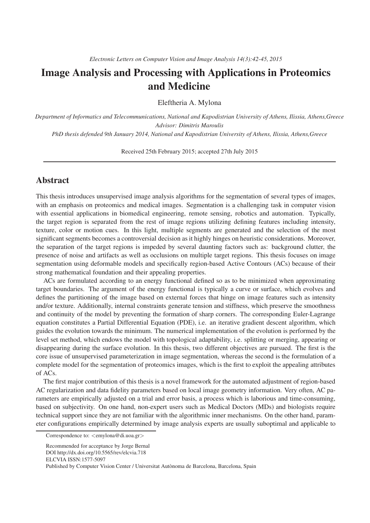# Image Analysis and Processing with Applications in Proteomics and Medicine

Eleftheria A. Mylona

*Department of Informatics and Telecommunications, National and Kapodistrian University of Athens, Ilissia, Athens,Greece Advisor: Dimitris Maroulis PhD thesis defended 9th January 2014, National and Kapodistrian University of Athens, Ilissia, Athens,Greece*

Received 25th February 2015; accepted 27th July 2015

# Abstract

This thesis introduces unsupervised image analysis algorithms for the segmentation of several types of images, with an emphasis on proteomics and medical images. Segmentation is a challenging task in computer vision with essential applications in biomedical engineering, remote sensing, robotics and automation. Typically, the target region is separated from the rest of image regions utilizing defining features including intensity, texture, color or motion cues. In this light, multiple segments are generated and the selection of the most significant segments becomes a controversial decision as it highly hinges on heuristic considerations. Moreover, the separation of the target regions is impeded by several daunting factors such as: background clutter, the presence of noise and artifacts as well as occlusions on multiple target regions. This thesis focuses on image segmentation using deformable models and specifically region-based Active Contours (ACs) because of their strong mathematical foundation and their appealing properties.

ACs are formulated according to an energy functional defined so as to be minimized when approximating target boundaries. The argument of the energy functional is typically a curve or surface, which evolves and defines the partitioning of the image based on external forces that hinge on image features such as intensity and/or texture. Additionally, internal constraints generate tension and stiffness, which preserve the smoothness and continuity of the model by preventing the formation of sharp corners. The corresponding Euler-Lagrange equation constitutes a Partial Differential Equation (PDE), i.e. an iterative gradient descent algorithm, which guides the evolution towards the minimum. The numerical implementation of the evolution is performed by the level set method, which endows the model with topological adaptability, i.e. splitting or merging, appearing or disappearing during the surface evolution. In this thesis, two different objectives are pursued. The first is the core issue of unsupervised parameterization in image segmentation, whereas the second is the formulation of a complete model for the segmentation of proteomics images, which is the first to exploit the appealing attributes of ACs.

The first major contribution of this thesis is a novel framework for the automated adjustment of region-based AC regularization and data fidelity parameters based on local image geometry information. Very often, AC parameters are empirically adjusted on a trial and error basis, a process which is laborious and time-consuming, based on subjectivity. On one hand, non-expert users such as Medical Doctors (MDs) and biologists require technical support since they are not familiar with the algorithmic inner mechanisms. On the other hand, parameter configurations empirically determined by image analysis experts are usually suboptimal and applicable to

Correspondence to:  $\langle$ emylona@di.uoa.gr $>$ 

Recommended for acceptance by Jorge Bernal DOI http://dx.doi.org/10.5565/rev/elcvia.718 ELCVIA ISSN:1577-5097 Published by Computer Vision Center / Universitat Autònoma de Barcelona, Barcelona, Spain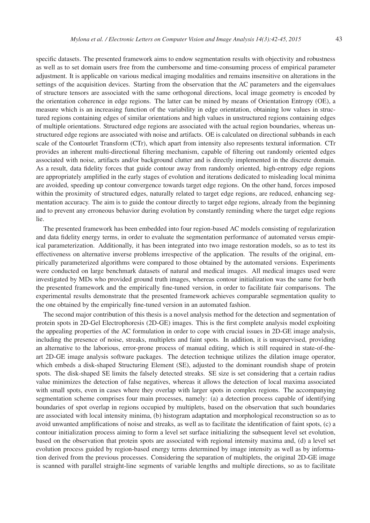specific datasets. The presented framework aims to endow segmentation results with objectivity and robustness as well as to set domain users free from the cumbersome and time-consuming process of empirical parameter adjustment. It is applicable on various medical imaging modalities and remains insensitive on alterations in the settings of the acquisition devices. Starting from the observation that the AC parameters and the eigenvalues of structure tensors are associated with the same orthogonal directions, local image geometry is encoded by the orientation coherence in edge regions. The latter can be mined by means of Orientation Entropy (OE), a measure which is an increasing function of the variability in edge orientation, obtaining low values in structured regions containing edges of similar orientations and high values in unstructured regions containing edges of multiple orientations. Structured edge regions are associated with the actual region boundaries, whereas unstructured edge regions are associated with noise and artifacts. OE is calculated on directional subbands in each scale of the Contourlet Transform (CTr), which apart from intensity also represents textural information. CTr provides an inherent multi-directional filtering mechanism, capable of filtering out randomly oriented edges associated with noise, artifacts and/or background clutter and is directly implemented in the discrete domain. As a result, data fidelity forces that guide contour away from randomly oriented, high-entropy edge regions are appropriately amplified in the early stages of evolution and iterations dedicated to misleading local minima are avoided, speeding up contour convergence towards target edge regions. On the other hand, forces imposed within the proximity of structured edges, naturally related to target edge regions, are reduced, enhancing segmentation accuracy. The aim is to guide the contour directly to target edge regions, already from the beginning and to prevent any erroneous behavior during evolution by constantly reminding where the target edge regions lie.

The presented framework has been embedded into four region-based AC models consisting of regularization and data fidelity energy terms, in order to evaluate the segmentation performance of automated versus empirical parameterization. Additionally, it has been integrated into two image restoration models, so as to test its effectiveness on alternative inverse problems irrespective of the application. The results of the original, empirically parameterized algorithms were compared to those obtained by the automated versions. Experiments were conducted on large benchmark datasets of natural and medical images. All medical images used were investigated by MDs who provided ground truth images, whereas contour initialization was the same for both the presented framework and the empirically fine-tuned version, in order to facilitate fair comparisons. The experimental results demonstrate that the presented framework achieves comparable segmentation quality to the one obtained by the empirically fine-tuned version in an automated fashion.

The second major contribution of this thesis is a novel analysis method for the detection and segmentation of protein spots in 2D-Gel Electrophoresis (2D-GE) images. This is the first complete analysis model exploiting the appealing properties of the AC formulation in order to cope with crucial issues in 2D-GE image analysis, including the presence of noise, streaks, multiplets and faint spots. In addition, it is unsupervised, providing an alternative to the laborious, error-prone process of manual editing, which is still required in state-of-theart 2D-GE image analysis software packages. The detection technique utilizes the dilation image operator, which embeds a disk-shaped Structuring Element (SE), adjusted to the dominant roundish shape of protein spots. The disk-shaped SE limits the falsely detected streaks. SE size is set considering that a certain radius value minimizes the detection of false negatives, whereas it allows the detection of local maxima associated with small spots, even in cases where they overlap with larger spots in complex regions. The accompanying segmentation scheme comprises four main processes, namely: (a) a detection process capable of identifying boundaries of spot overlap in regions occupied by multiplets, based on the observation that such boundaries are associated with local intensity minima, (b) histogram adaptation and morphological reconstruction so as to avoid unwanted amplifications of noise and streaks, as well as to facilitate the identification of faint spots, (c) a contour initialization process aiming to form a level set surface initializing the subsequent level set evolution, based on the observation that protein spots are associated with regional intensity maxima and, (d) a level set evolution process guided by region-based energy terms determined by image intensity as well as by information derived from the previous processes. Considering the separation of multiplets, the original 2D-GE image is scanned with parallel straight-line segments of variable lengths and multiple directions, so as to facilitate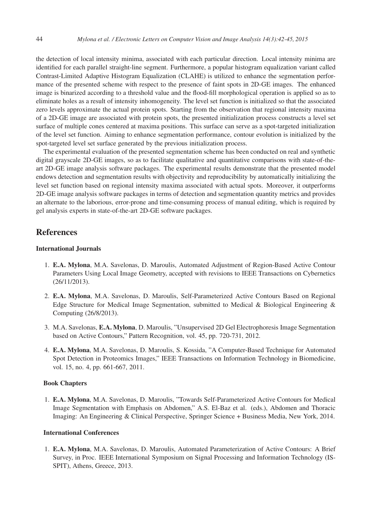the detection of local intensity minima, associated with each particular direction. Local intensity minima are identified for each parallel straight-line segment. Furthermore, a popular histogram equalization variant called Contrast-Limited Adaptive Histogram Equalization (CLAHE) is utilized to enhance the segmentation performance of the presented scheme with respect to the presence of faint spots in 2D-GE images. The enhanced image is binarized according to a threshold value and the flood-fill morphological operation is applied so as to eliminate holes as a result of intensity inhomogeneity. The level set function is initialized so that the associated zero levels approximate the actual protein spots. Starting from the observation that regional intensity maxima of a 2D-GE image are associated with protein spots, the presented initialization process constructs a level set surface of multiple cones centered at maxima positions. This surface can serve as a spot-targeted initialization of the level set function. Aiming to enhance segmentation performance, contour evolution is initialized by the spot-targeted level set surface generated by the previous initialization process.

The experimental evaluation of the presented segmentation scheme has been conducted on real and synthetic digital grayscale 2D-GE images, so as to facilitate qualitative and quantitative comparisons with state-of-theart 2D-GE image analysis software packages. The experimental results demonstrate that the presented model endows detection and segmentation results with objectivity and reproducibility by automatically initializing the level set function based on regional intensity maxima associated with actual spots. Moreover, it outperforms 2D-GE image analysis software packages in terms of detection and segmentation quantity metrics and provides an alternate to the laborious, error-prone and time-consuming process of manual editing, which is required by gel analysis experts in state-of-the-art 2D-GE software packages.

# **References**

#### International Journals

- 1. E.A. Mylona, M.A. Savelonas, D. Maroulis, Automated Adjustment of Region-Based Active Contour Parameters Using Local Image Geometry, accepted with revisions to IEEE Transactions on Cybernetics (26/11/2013).
- 2. E.A. Mylona, M.A. Savelonas, D. Maroulis, Self-Parameterized Active Contours Based on Regional Edge Structure for Medical Image Segmentation, submitted to Medical & Biological Engineering & Computing (26/8/2013).
- 3. M.A. Savelonas, E.A. Mylona, D. Maroulis, "Unsupervised 2D Gel Electrophoresis Image Segmentation based on Active Contours," Pattern Recognition, vol. 45, pp. 720-731, 2012.
- 4. E.A. Mylona, M.A. Savelonas, D. Maroulis, S. Kossida, "A Computer-Based Technique for Automated Spot Detection in Proteomics Images," IEEE Transactions on Information Technology in Biomedicine, vol. 15, no. 4, pp. 661-667, 2011.

#### Book Chapters

1. E.A. Mylona, M.A. Savelonas, D. Maroulis, "Towards Self-Parameterized Active Contours for Medical Image Segmentation with Emphasis on Abdomen," A.S. El-Baz et al. (eds.), Abdomen and Thoracic Imaging: An Engineering & Clinical Perspective, Springer Science + Business Media, New York, 2014.

### International Conferences

1. E.A. Mylona, M.A. Savelonas, D. Maroulis, Automated Parameterization of Active Contours: A Brief Survey, in Proc. IEEE International Symposium on Signal Processing and Information Technology (IS-SPIT), Athens, Greece, 2013.